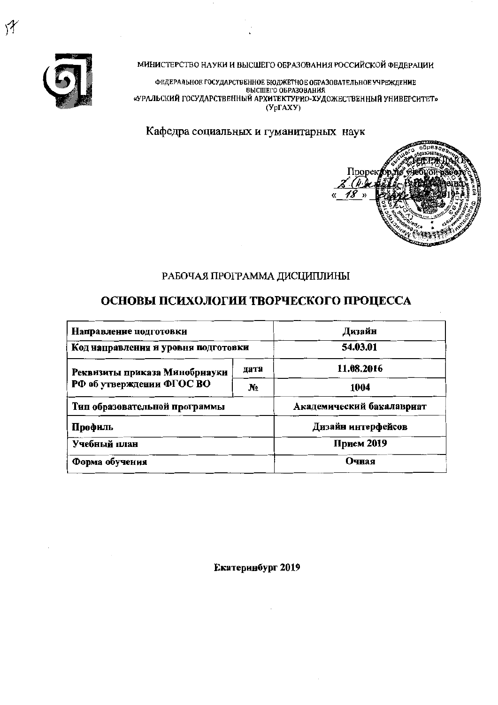

泘

МИНИСТЕРСТВО НАУКИ И ВЫСШЕГО ОБРАЗОВАНИЯ РОССИЙСКОЙ ФЕДЕРАЦИИ

ФЕДЕРАЛЬНОЕ ГОСУДАРСТВЕННОЕ БЮДЖЕТНОЕ ОБРАЗОВАТЕЛЬНОЕ УЧРЕЖДЕНИЕ BHCIIIErO OBPA3OBAHKA «УРАЛЬСКИЙ ГОСУДАРСТВЕННЫЙ АРХИТЕКТУРНО-ХУДОЖЕСТВЕННЫЙ УНИВЕРСИТЕТ»  $(Yp\Gamma A X Y)$ 

Кафедра социальных и гуманитарных наук



# РАБОЧАЯ ПРОГРАММА ДИСЦИПЛИНЫ

# ОСНОВЫ ПСИХОЛОГИИ ТВОРЧЕСКОГО ПРОЦЕССА

| Направление подготовки              | Дизайн     |                           |  |  |
|-------------------------------------|------------|---------------------------|--|--|
| Код направления и уровня подготовки | 54.03.01   |                           |  |  |
| Реквизиты приказа Минобрнауки       | 11.08.2016 |                           |  |  |
| РФ об утверждении ФГОС ВО           | Nº.        | 1004                      |  |  |
| Тип образовательной программы       |            | Академический бакалавриат |  |  |
| Профиль                             |            | Дизайн интерфейсов        |  |  |
| Учебный план                        | Прием 2019 |                           |  |  |
| Форма обучения                      | Очная      |                           |  |  |

Екатеринбург 2019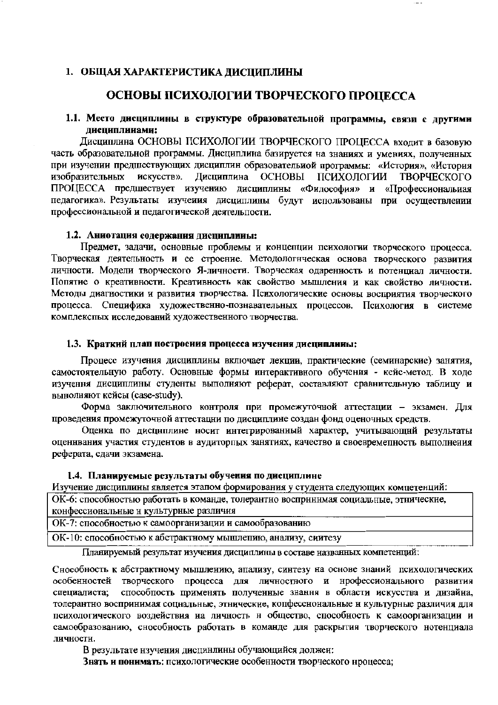#### 1. ОБЩАЯ ХАРАКТЕРИСТИКА ДИСЦИПЛИНЫ

# ОСНОВЫ ПСИХОЛОГИИ ТВОРЧЕСКОГО ПРОЦЕССА

#### 1.1. Место дисциплины в структуре образовательной программы, связи с другими лиспиплинами:

Дисциплина ОСНОВЫ ПСИХОЛОГИИ ТВОРЧЕСКОГО ПРОЦЕССА входит в базовую часть образовательной программы. Дисциплина базируется на знаниях и умениях, полученных при изучении предшествующих дисциплин образовательной программы: «История», «История изобразительных искусств». Дисциплина ОСНОВЫ ПСИХОЛОГИИ ТВОРЧЕСКОГО ПРОЦЕССА предшествует изучению дисциплины «Философия» и «Профессиональиая педагогика». Результаты изучения дисциплины будут использованы при осуществлении профессиональной и педагогической деятельпости.

#### 1.2. Аннотация содержания дисциплины:

Предмет, задачи, основные проблемы и концепции психологии творческого процесса. Творческая деятельность и ее строение. Методологнческая основа творческого развития личности. Модели творческого Я-личности. Творческая одаренность и потенциал личности. Попятие о креативности. Креативность как свойство мышления и как свойство личности. Методы диагностики и развития творчества. Психологические основы восприятия творческого процесса. Специфика художественно-познавательных процессов. Психология в системе комплекспых исследований художественного творчества.

#### 1.3. Краткий план построения процесса изучения дисциплины:

Процесс изучения дисциплины включает лекции, практические (семинарские) занятия, самостоятельную работу. Основные формы интерактивного обучения - кейс-метод. В ходе изучення дисциплины студенты выполняют реферат, составляют сравнительную таблицу и вынолняют кейсы (case-study).

Форма заключительного контроля при промежуточной аттестации - экзамен. Для проведения промежуточной аттестации по дисциплине создан фонд оценочных средств.

Оценка по дисциплине носит интегрированный характер, учитывающий результаты оценнвания участия студентов в аудиторпых занятиях, качество и своевременность выполнения реферата, сдачи экзамена.

#### 1.4. Планируемые результаты обучения по дисциплине

Изучение дисциплины является этапом формирования у студента следующих компетенций:

ОК-6: способностью работать в команде, толерантно воспринимая социальные, этнические, конфессиональные и культурные различия

ОК-7: способностью к самоорганизации и самообразованию

ОК-10: способностью к абстрактному мышлепию, анализу, сиитезу

Планируемый результат изучения дисциплины в составе названных компетенций:

Снособность к абстрактному мышлению, апализу, синтезу на основе знаний психологических особенностей творческого процесса для личностного и нрофессионального развития способность применять полученные знання в области искусства и днзайна, специалиста; толерантно воспринимая соцнальные, этнические, копфесснональные и культурные различия для психологического воздействия на личность н общество, способность к самоорганизации и самообразованию, снособность работать в команде для раскрытия творческого нотенциала личности.

В результате нзучения дисцинлины обучающийся должеи:

Знать и понимать: психологические особенности творческого нроцесса;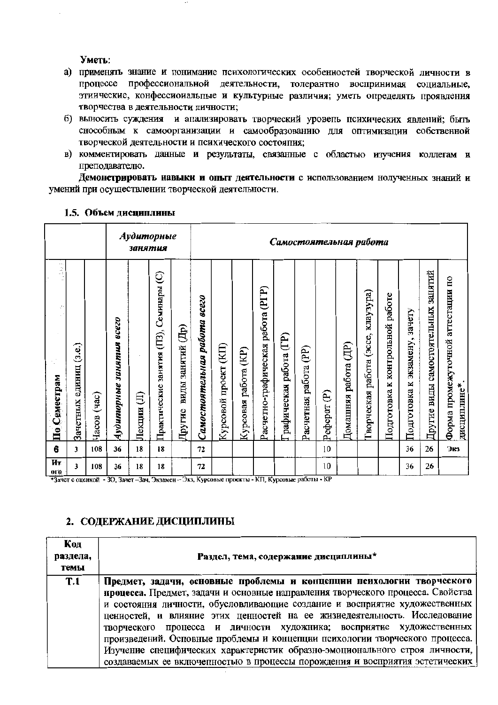Уметь:

- а) применять знание и понимание психологических особенностей творческой личности в процессе профессиональной деятельности, толерантно воспринимая социальные, этиические, конфессиоиальные и культурные различия; уметь определять проявления творчества в деятельности личности:
- б) выносить суждения и апализировать творческий уровепь психических явлений; быть снособным к самоорганизации и самообразованию для оптимизации собственной творческой деятельности и психического состояпия:
- в) комментировать данные и результаты, связанные с областью изучения коллегам и преподавателю.

Демонстрировать навыки и опыт деятельности с использованием нолученных знаний и умений при осуществлении творческой деятельности.

|                         |                              |                |                             | занятия     | Аудиторные                                 |                             | Самостоятельная работа                 |                             |                            |                                   |                        |                                  |                          |                                         |                                               |                                    |                                     |                                           |                                                     |
|-------------------------|------------------------------|----------------|-----------------------------|-------------|--------------------------------------------|-----------------------------|----------------------------------------|-----------------------------|----------------------------|-----------------------------------|------------------------|----------------------------------|--------------------------|-----------------------------------------|-----------------------------------------------|------------------------------------|-------------------------------------|-------------------------------------------|-----------------------------------------------------|
| ă<br>÷,<br>По Семестрам | (3.e.)<br>единиц<br>Зачетных | (4ac)<br>Часов | acezo<br>Аудиторные занятия | €<br>Лекции | Семинары (C)<br>Практические занятия (ПЗ), | виды занятий (Др)<br>Другие | <b>8CC20</b><br>Самостоятельная работа | (KII)<br>проект<br>Курсовой | (KP)<br>работа<br>Курсовая | Расчетно-графическая работа (PГР) | рафическая работа (ГР) | $\mathbf{f}$<br>Расчетная работа | $\widehat{e}$<br>Реферат | $(\overline{AB})$<br>работа<br>Домашняя | <b>EdAcAem</b><br>работа (эссе,<br>Гворческая | работе<br>Подготовка к контрольной | зачету<br>экзамену,<br>Подготовка к | занятий<br>виды самостоятельных<br>Другие | аттестации по<br>Форма промежуточной<br>дисциплине* |
| 6                       | 3                            | 108            | 36                          | 18          | 18                                         |                             | 72                                     |                             |                            |                                   |                        |                                  | 10                       |                                         |                                               |                                    | 36                                  | 26                                        | Экз                                                 |
| Ит<br>ОГО               | 3                            | 108            | 36                          | 18          | 18                                         | $\overline{ }$              | 72<br>т.                               |                             |                            | $2.0 + 1.0$                       |                        |                                  | 10<br>T/T                |                                         |                                               |                                    | 36                                  | 26                                        |                                                     |

#### 1.5. Объем дисциплины

\*Зачет с оценкой - ЗО, Зачет-Зач, Экзамен-Экз, Курсовые проекты - КП, Курсовые работы - КР

### 2. СОДЕРЖАНИЕ ДИСЦИПЛИНЫ

| Код<br>раздела,<br>темы | Раздел, тема, содержание дисциплины*                                                                                                                                                                                                                                                                                                                                                                                                                                                                                                                                                                                                       |
|-------------------------|--------------------------------------------------------------------------------------------------------------------------------------------------------------------------------------------------------------------------------------------------------------------------------------------------------------------------------------------------------------------------------------------------------------------------------------------------------------------------------------------------------------------------------------------------------------------------------------------------------------------------------------------|
| T <sub>.1</sub>         | Предмет, задачи, основиые проблемы и концепции психологии творческого<br>процесса. Предмет, задачи и основные направления творческого процесса. Свойства<br>и состояния личности, обусловливающие создание и восприятие художественных<br>цениостей, и влияние этих ценностей на ее жизиедеятельность. Исследование<br>творческого процесса и личности художника; восприятие художественных<br>произведений. Осповные проблемы и концепции психологии творческого процесса.<br>Изучение специфических характеристик образно-эмоционального строя личности,<br>создаваемых ее включенностью в процессы порождения и восприятия эстетических |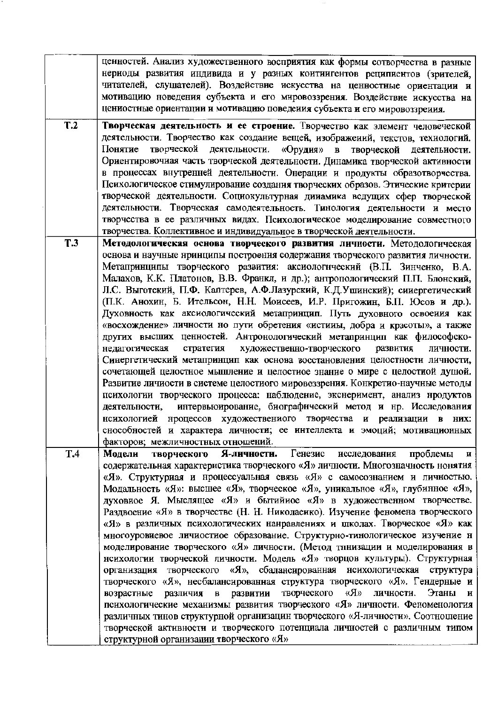|            | ценностей. Анализ художественного восприятия как формы сотворчества в разные      |
|------------|-----------------------------------------------------------------------------------|
|            | нериоды развития индивида и у разных коитиигентов реципиентов (зрителей,          |
|            | читателей, слушателей). Воздействие искусства на ценностные ориентации и          |
|            | мотивацию новедения субъекта и его мировоззрения. Воздействие искусства на        |
|            | цениостные ориентации и мотивацию поведеиия субъекта и его мировоззреиия.         |
| T.2        | Творческая деятельность и ее строение. Творчество как элемент человеческой        |
|            | деятельности. Творчество как создание вещей, изображений, текстов, техиологий.    |
|            | творческой деятельности. «Орудия» в творческой деятельности.<br>Понятие           |
|            |                                                                                   |
|            | Ориентировочиая часть творческой деятельности. Динамика творческой активности     |
|            | в процессах внутренней деятельности. Онерации и продукты образотворчества.        |
|            | Психологическое стимулирование создания творческих образов. Этические критерии    |
|            | творческой деятельности. Социокультурная динамика ведущих сфер творческой         |
|            | деятельности. Творческая самодеятельность. Тинология деятельности и место         |
|            | творчества в ее различных видах. Психологическое моделирование совместного        |
|            | творчества. Коллективное и индивидуальное в творческой деятельности.              |
| <b>T.3</b> | Методологическая основа творческого развития личности. Методологическая           |
|            | основа и научные нринципы построения содержания творческого развития личности.    |
|            | Метапринципы творческого развития: аксиологический (В.П. Зинченко, В.А.           |
|            | Малахов, К.К. Платонов, В.В. Франкл, и др.); антропологический П.П. Блонский,     |
|            | Л.С. Выготский, П.Ф. Каптерев, А.Ф.Лазурский, К.Д.Ушинский); синергетический      |
|            | (П.К. Анохин, Б. Ительсон, Н.Н. Моисеев, И.Р. Пригожин, Б.П. Юсов и др.).         |
|            | Духовность как аксиологический метапринцип. Путь духовного освоеиия как           |
|            | «восхождение» личности но пути обретения «истииы, добра и красоты», а также       |
|            | других высших ценностей. Антронологический метапринцип как философско-            |
|            | художественно-творческого<br>стратегия<br>развития<br>личности.<br>недагогическая |
|            | Синергетический метапринцип как основа восстановления целостности личности,       |
|            | сочетающей целостное мышление и целостиое знание о мире с целостиой душой.        |
|            | Развитие личиости в системе целостного мировоззрения. Конкретио-научные методы    |
|            | психологии творческого процесса: наблюдение, экснеримент, анализ нродуктов        |
|            | интервьюирование, биографический метод и нр. Исследования<br>деятельности,        |
|            | нсихологией процессов художествениого творчества и реализации в них:              |
|            | снособностей и характера личности; ее интеллекта и эмоций; мотивационных          |
|            | факторов; межличностных отношений.                                                |
| T.4        | Генезис<br>Я-личности.<br>проблемы<br>исследования<br>Модели<br>творческого<br>и  |
|            | содержательная характеристика творческого «Я» личности. Многозначность нонятия    |
|            | «Я». Структурная и нроцессуальная связь «Я» с самосознанием и личностью.          |
|            | Модальность «Я»: высшее «Я», творческое «Я», уникальное «Я», глубинное «Я»,       |
|            | духовиое Я. Мыслящее «Я» и бытийное «Я» в художественном творчестве.              |
|            | Раздвоение «Я» в творчестве (Н. Н. Николаеико). Изучение феномена творческого     |
|            | «Я» в различных психологических нанравлениях и школах. Творческое «Я» как         |
|            | многоуровиевое личиостиое образование. Структурно-тинологическое изучение н       |
|            | моделирование творческого «Я» личности. (Метод тниизации и моделирования в        |
|            | нсихологии творческой личности. Модель «Я» творцов культуры). Структурная         |
|            | организация творческого «Я», сбалансированная нсихологическая структура           |
|            | творческого «Я», несбалансированная структура творческого «Я». Гендерные и        |
|            | творческого «Я»<br>Этаны и<br>в развитии<br>личности.<br>возрастные<br>различия   |
|            | психологические механизмы развития творческого «Я» личности. Феноменология        |
|            | различных тинов структурной организацин творческого «Я-личности». Соотношение     |
|            | творческой активности и творческого потенциала личностей с различным типом        |
|            | структурной организации творческого «Я»                                           |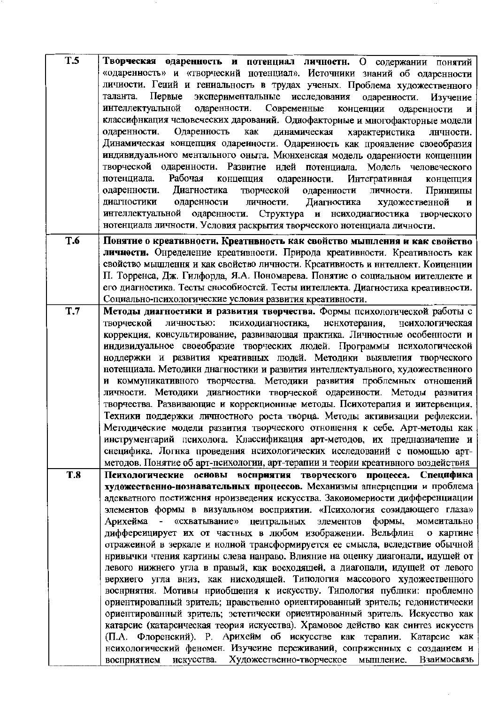| <b>T.5</b>     | Творческая одаренность и потенциал личностн. О содержании понятий                 |
|----------------|-----------------------------------------------------------------------------------|
|                | «одаренность» и «творческий нотенциал». Источники знаний об одаренности           |
|                | личности. Гений и гениальность в трудах ученых. Проблема художественного          |
|                | Первые экспериментальные исследования одаренности. Изучение<br>таланта.           |
|                | интеллектуальной одаренности. Современные<br>конценции<br>одаренности<br>и        |
|                | классифнкация человеческих дарований. Однофакторные и многофакторные модели       |
|                | Одаренность<br>динамическая<br>одаренности.<br>как<br>характеристика<br>лнчности. |
|                | Динамическая концепция одаренности. Одареиность как проявление своеобразия        |
|                | индивидуального ментального оныта. Мюнхенская модель одарениости конценции        |
|                | творческой одаренности. Развитие идей потенциала. Модель человеческого            |
|                | Рабочая<br>концепция одареиности. Интегративная<br>потенциала.<br>концепция       |
|                | Диагностика<br>творческой<br>одаренности<br>личности.<br>Принципы<br>одаренности. |
|                | личности. Диагностика<br>художественной<br>одаренности<br>диагностики<br>и        |
|                | интеллектуальной одаренности. Структура и нсиходиагиостика творческого            |
|                | нотенциала личности. Условия раскрытия творческого нотенциала личности.           |
| T.6            | Понятие о креативности. Креатнвность как свойство мышления и как свойство         |
|                | личности. Онределение креативности. Природа креативности. Креативность как        |
|                | свойство мышлення и как свойство личности. Креативиость и ннтеллект. Коиценции    |
|                | П. Торренса, Дж. Гилфорда, Я.А. Пономарева. Понятие о социальном интеллекте и     |
|                | его диагностика. Тесты снособиостей. Тесты иителлекта. Диагностика креативности.  |
|                | Социально-психологические условия развития креативности.                          |
| T <sub>1</sub> | Методы диагностики и развития творчества. Формы психологической работы с          |
|                | психодиагностика,<br>нснхотерания,<br>творческой<br>личностью:<br>нсихологическая |
|                | коррекция, консультирование, развивающая практика. Личностные особенности и       |
|                | индивидуальное своеобразие творческих людей. Программы нсихологической            |
|                | ноддержки и развития креативных людей. Методики выявления творческого             |
|                | нотенциала. Методики днагностики и развития интеллектуального, художественного    |
|                | и коммуникативного творчества. Методики развития проблемных отношений             |
|                | личности. Методики диагностнки творческой одаренности. Методы развития            |
|                | творчества. Развивающие и коррекционные методы. Психотерапия и иитервенция.       |
|                | Техники поддержки личностного роста творца. Методы активизации рефлексии.         |
|                | Методические модели развития творческого отношення к себе. Арт-методы как         |
|                | инструментарий психолога. Классификация арт-методов, их предназиачение и          |
|                | снецифика. Логнка проведения нсихологических исследований с помощью арт-          |
|                | методов. Понятие об арт-психологии, арт-терапии и теории креативного воздействия  |
| <b>T.8</b>     | Психологические основы восприятия творческого процесса. Специфика                 |
|                | художественно-познавательных процессов. Механизмы апнерцепции и проблема          |
|                | адекватного постижения нроизведения искусства. Закоиомериости дифференциации      |
|                | элементов формы в визуальном восприятии. «Психология созидающего глаза»           |
|                | формы,<br>«схватывание» центральных<br>момеитально<br>Арихейма -<br>элементов     |
|                | диффереицирует их от частных в любом изображении. Вельфлин<br>о картине           |
|                | отраженной в зеркале и нолной трансформируется ее смысла, вследствие обычной      |
|                | нривычки чтения картины слева нанраво. Влияние на оценку диагонали, идущей от     |
|                | левого нижнего угла в правый, как восходящей, а диагонали, идущей от левого       |
|                | верхиего угла вниз, как нисходящей. Типология массового художественного           |
|                | воснриятия. Мотивы нриобщения к искусству. Типология публнки: проблемно           |
|                | ориентировапный зритель; нравственно ориентированный зритель; гедонистически      |
|                | ориентированный зритель; эстетически ориентированный зритель. Искусство как       |
|                | катарсис (катарсическая теория искусства). Храмовое действо как синтез искусств   |
|                | (П.А. Флоренский). Р. Арихейм об искусстве как терапии. Катарсис как              |
|                | нсихологический феномен. Изучение переживаний, сопряженных с созданием и          |
|                | восприятием искусства. Художественно-творческое<br>Взаимосвязь<br>мышление.       |

 $\sim$ 

 $\hat{\mathcal{A}}$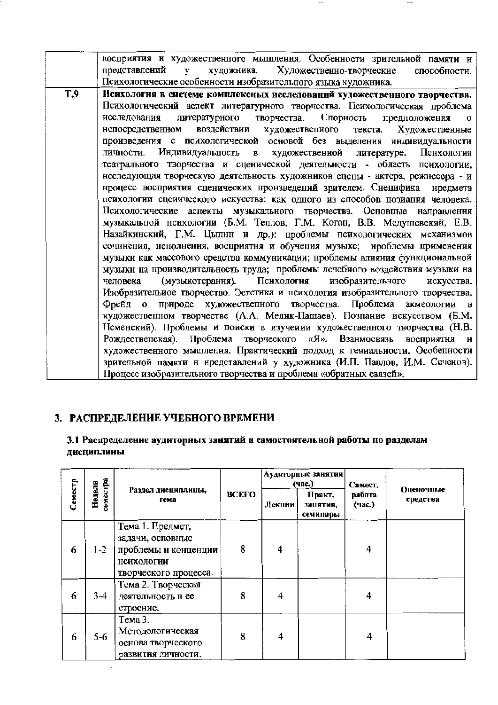|            | восприятия и художественного мышления. Особенности зрительной памяти и                     |
|------------|--------------------------------------------------------------------------------------------|
|            | представлений<br>Художественно-творческие<br>художника.<br>$\mathbf{v}$<br>способности.    |
|            | Психологические особенности изобразительного языка художника.                              |
| <b>T.9</b> | Психология в системе комплексных исследований художественного творчества.                  |
|            | Психологический аспект литературного творчества. Психологическая проблема                  |
|            | литературного творчества. Спорность предположения<br>исследования<br>$\Omega$              |
|            | воздействии художественного текста. Художественные<br>непосредственном                     |
|            | произведения с психологической основой без выделения индивидуальности                      |
|            | личности. Индивидуальность в художествениой литературе. Психология                         |
|            | театрального творчества и сценической деятельности - область психологии,                   |
|            | нсследующая творческую деятельность художников сцены - актера, режнссера - и               |
|            | нроцесс восприятия сценических произведений зрителем. Снецифика нредмета                   |
|            | психологии сценического искусства: как одного из способов нозиания человека.               |
|            | Психологические аспекты музыкального творчества. Основные направления                      |
|            | музыкальной психологии (Б.М. Теплов, Г.М. Коган, В.В. Медушевский, Е.В.                    |
|            | Назайкинский, Г.М. Цыпнн и др.): проблемы психологических механизмов                       |
|            | сочинения, исполнения, восприятия и обучения музыке; нроблемы применения                   |
|            | музыки как массового средства коммуникации; проблемы влияния функциональной                |
|            | музыки на производительность труда; проблемы лечебиого воздействия музыки на               |
|            | Психологня<br>изобразительного<br>(музыкотерання).<br>человека<br>искусства.               |
|            | Изобразительиое творчество. Эстетика и нсихология изобразительного творчества.             |
|            | природе художественного творчества. Проблема акмеологии в<br>$\Phi$ pe $\check{H}$ $\Pi$ 0 |
|            | художественном творчестве (А.А. Мелик-Пашаев). Познание искусством (Б.М.                   |
|            | Неменский). Проблемы и поиски в изучении художественного творчества (Н.В.                  |
|            | Рождественская). Проблема творческого «Я». Взанмосвязь<br>восприятия и                     |
|            | художественного мышления. Практический подход к гениальности. Особенности                  |
|            | зрительной намяти н нредставлений у художника (И.П. Павлов, И.М. Сеченов).                 |
|            | Процесс изобразительного творчества и проблема «обратных связей».                          |

 $\sim$ 

. --

# 3. РАСПРЕДЕЛЕНИЕ УЧЕБНОГО ВРЕМЕНИ

 $\bar{z}$ 

# 3.1 Распределение аудиторных занятий и самостоятельной работы по разделам дисциплины

|         |                    |                                                                                                            |       |                | Аудиторные занятия<br>(час.)   | Самост.          | Оценочные<br>средства |
|---------|--------------------|------------------------------------------------------------------------------------------------------------|-------|----------------|--------------------------------|------------------|-----------------------|
| Семестр | земестра<br>Неделя | Раздел дисциплины,<br>тема                                                                                 | ВСЕГО | Лекции         | Практ.<br>занятия,<br>семинары | работа<br>(час.) |                       |
| 6       | $1-2$              | Тема 1. Предмет,<br>задачи, основные<br>проблемы и конценции<br><b>НСИХОЛОГИИ</b><br>творческого процесса. | 8     | 4              |                                | 4                |                       |
| 6       | $3 - 4$            | Тема 2. Творческая<br>деятельность и ее<br>строение.                                                       | 8     | 4              |                                | 4                |                       |
| 6       | 5-6                | Тема 3.<br>Методологическая<br>основа творческого<br>развития личности.                                    | 8     | $\overline{4}$ |                                | 4                |                       |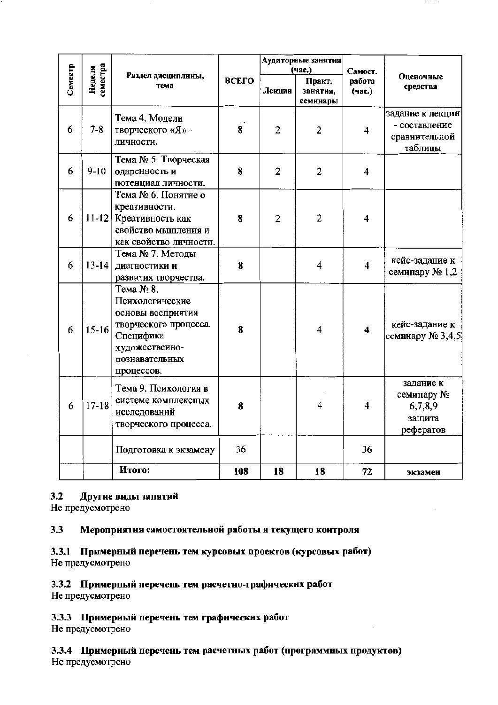|         |                    |                                                                                                                                           |                         |                | Аудиторные занятия<br>(час.)   | Самост.                 |                                                               |  |
|---------|--------------------|-------------------------------------------------------------------------------------------------------------------------------------------|-------------------------|----------------|--------------------------------|-------------------------|---------------------------------------------------------------|--|
| Семестр | земестра<br>Неделя | Раздел дисциплины,<br>тема                                                                                                                | ВСЕГО                   | Лекцин         | Практ.<br>занятия,<br>семинары | работа<br>(час.)        | Оценочные<br>средства                                         |  |
| 6       | $7 - 8$            | Тема 4. Модели<br>творческого «Я» -<br>личности.                                                                                          | $\overline{\mathbf{8}}$ | $\overline{c}$ | $\overline{2}$                 | 4                       | задание к лекции<br>- составление<br>сравнительной<br>таблицы |  |
| 6       | $9-10$             | Тема № 5. Творческая<br>одаренность и<br>потенциал личности.                                                                              | 8                       | $\mathbf{2}$   | 2                              | $\overline{\mathbf{4}}$ |                                                               |  |
| 6       | $11 - 12$          | Тема № 6. Понятие о<br>креативности.<br>Креативность как<br>свойство мышления и<br>как свойство личности.                                 | 8                       | $\overline{2}$ | $\overline{2}$                 | $\overline{\mathbf{4}}$ |                                                               |  |
| 6       | $13 - 14$          | Тема № 7. Методы<br>диагностики и<br>развития творчества.                                                                                 | 8                       |                | 4                              | $\overline{\mathbf{4}}$ | кейс-задание к<br>семинару № 1,2                              |  |
| 6       | $15-16$            | Тема № 8.<br>Психологические<br>основы восприятия<br>творческого процесса.<br>Специфика<br>художественно-<br>познавательных<br>процессов. | 8                       |                | 4                              | $\overline{\mathbf{4}}$ | кейс-задание к<br>семинару № 3,4,5                            |  |
| 6       | $17 - 18$          | Тема 9. Психология в<br>системе комплексных<br>исследований<br>творческого процесса.                                                      | 8                       |                | 4                              | $\overline{\mathbf{4}}$ | задание к<br>семинару №<br>6,7,8,9<br>защита<br>рефератов     |  |
|         |                    | Подготовка к экзамену                                                                                                                     | 36                      |                |                                | 36                      |                                                               |  |
|         |                    | Итого:                                                                                                                                    | 108                     | 18             | 18                             | 72                      | экзамен                                                       |  |

#### $3.2$ Другие виды занятий

Не предусмотрено

#### $3.3$ Мероприятия самостоятельиой работы и текущего контроля

3.3.1 Примерный перечень тем курсовых проектов (курсовых работ) Не предусмотрено

#### 3.3.2 Примерный перечень тем расчетно-графических работ

Не предусмотрено

# 3.3.3 Примериый перечень тем графических работ

Не предусмотрено

3.3.4 Примерный перечень тем расчетных работ (программных продуктов) Не предусмотрено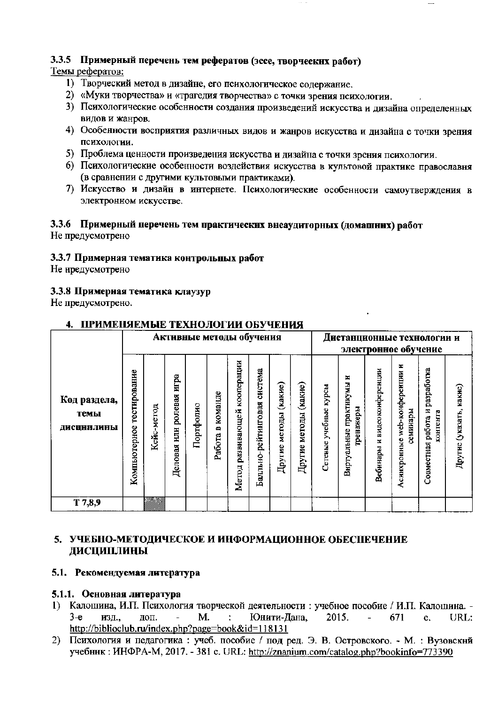# 3.3.5 Примерный перечень тем рефератов (эссе, творческих работ)

# Темы рефератов:

- 1) Творческий метод в дизайне, его психологическое содержание.
- 2) «Муки творчества» и «трагедия творчества» с точки зрения психологии.
- 3) Психологические особенности создания произведений искусства и дизайна определенных видов и жанров.
- 4) Особенности восприятия различных видов и жанров искусства и дизайна с точки зрения психологии.
- 5) Проблема ценности произведения искусства и дизайна с точки зрения психологии.
- 6) Психологические особенности воздействия искусства в культовой практике православня (в сравнении с другими культовыми практиками).
- 7) Искусство и дизайн в интернете. Психологические особенности самоутверждения в электронном искусстве.

#### 3.3.6 Примерный перечень тем практических внеаудиторных (домашних) работ Не предусмотрено

#### 3.3.7 Примерная тематика контрольных работ

Не нредусмотрено

#### 3.3.8 Примерная тематика клаузур

Не предусмотрено.

|                                    | Активные методы обучения     |            |                                  |           |                        |                                    | Дистанционные технологии и<br>электронное обучение |                             |                             |                             |                                          |                                   |                                                  |                                                     |                            |
|------------------------------------|------------------------------|------------|----------------------------------|-----------|------------------------|------------------------------------|----------------------------------------------------|-----------------------------|-----------------------------|-----------------------------|------------------------------------------|-----------------------------------|--------------------------------------------------|-----------------------------------------------------|----------------------------|
| Код раздела,<br>темы<br>ДИСЦНПЛИНЫ | гестирование<br>Компьютерное | Кейс-метод | йди<br>ролевая<br>КЦИ<br>Деловая | Портфолно | команде<br>m<br>Работа | кооперации<br>развивающей<br>Метод | система<br>рейтинговая<br>Балльно-                 | (какне)<br>методы<br>Другие | (какие)<br>методы<br>Другие | курсы<br>учебные<br>Сетевые | ×<br>Внртуальные практикумы<br>гренажеры | видеоконференции<br>×<br>Вебинары | z<br>web-конференции<br>семиндеры<br>Асинхронные | разработка<br>Ħ<br>контента<br>работа<br>Совместная | какне)<br>Другне (указать, |
| T 7,8,9                            |                              | 73         |                                  |           |                        |                                    |                                                    |                             |                             |                             |                                          |                                   |                                                  |                                                     |                            |

#### 4. ПРИМЕНЯЕМЫЕ ТЕХНОЛОГИИ ОБУЧЕНИЯ

# 5. УЧЕБНО-МЕТОДИЧЕСКОЕ И ИНФОРМАЦИОННОЕ ОБЕСПЕЧЕНИЕ ДИСЦИПЛИНЫ

#### 5.1. Рекомендуемая литература

#### 5.1.1. Основная литература

- 1) Калошина, И.П. Психология творческой деятельности : учебное пособие / И.П. Калошина. -M.  $\mathcal{L}^{\pm}$ Юнити-Дана, 2015.  $3-e$ изд., лоп.  $\mathcal{L}^{\pm}$ 671  $\mathbf{c}$ . URL:  $\overline{a}$ http://biblioclub.ru/index.php?page=book&id=118131
- 2) Психология и педагогика: учеб. пособие / под ред. Э. В. Островского. М.: Вузовский учебник: ИНФРА-М, 2017. - 381 с. URL: http://znanium.com/catalog.php?bookinfo=773390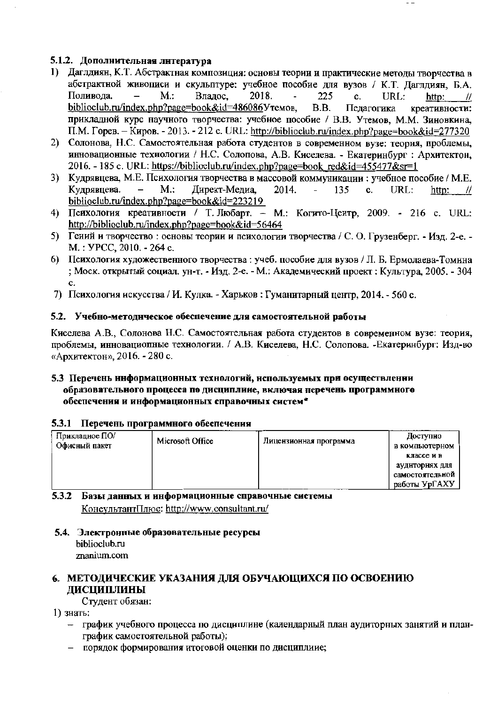## 5.1.2. Дополнительная литература

- 1) Даглдиян, К.Т. Абстрактная композиция: основы теории и практические методы творчества в абстрактной живописи и скульптуре: учебное пособие для вузов / К.Т. Дагллиян, Б.А. Поливода.  $M$ .: Владос. 2018. 225 c. URL: http:  $^{\prime\prime}$  $B.B.$ biblioclub.ru/index.php?page=book&id=486086Утемов. Педагогика креативности: прикладной курс научного творчества: учебное пособие / В.В. Утемов, М.М. Зиновкина,  $\Pi.M.$  Горев. - Киров. - 2013. - 212 с. URL: http://biblioclub.ru/index.php?page=book&id=277320
- 2) Солонова, Н.С. Самостоятельная работа студентов в современном вузе: теория, проблемы, инновационные технологии / Н.С. Солопова, А.В. Киселева. - Екатеринбург : Архитектон, 2016. - 185 c. URL: https://biblioclub.ru/index.php?page=book\_red&id=455477&sr=1
- 3) Кудрявцева, М.Е. Психология творчества в массовой коммуникации: учебное пособие / М.Е. Кудрявцева.  $M$ .: Директ-Медиа, 2014. 135  $\mathbf{c}$ . URL: http: - 11 biblioclub.ru/index.php?page=book&id=223219
- 4) Психология креативности / Т. Любарт. М.: Когито-Цеитр, 2009. 216 с. URL: http://biblioclub.ru/index.php?page=book&id=56464
- 5) Гений и творчество: основы теории и психологии творчества / С. О. Грузенберг. Изд. 2-е. -M.: УРСС, 2010. - 264 с.
- 6) Психология художественного творчества: учеб. пособие для вузов / Л. Б. Ермолаева-Томина ; Моск. открытый социал. ун-т. - Изд. 2-е. - М.: Академический проект : Культура, 2005. - 304 c.
- 7) Психология искусства / И. Кулка. Харьков: Гуманитарный центр, 2014. 560 с.

### 5.2. Учебно-методнческое обеспечение для самостоятельной работы

Киселева А.В., Солонова Н.С. Самостоятельная работа студентов в современном вузе: теория, проблемы, инновациопные технологии. / А.В. Киселева, Н.С. Солопова. - Екатеринбург: Изд-во «Архитектон», 2016. - 280 с.

#### 5.3 Перечень информационных технологий, используемых при осуществлении образовательного процесса по дисциплине, включая перечень программного обеспечения и информационных справочных систем\*

#### 5.3.1 Перечень программного обеспечения

| Прикладное ПО/ | Microsoft Office |                        | Доступно        |
|----------------|------------------|------------------------|-----------------|
| Офисный пакет  |                  | Лицензионная программа | в компьютерном  |
|                |                  |                        | классе и в      |
|                |                  |                        | аудиториях для  |
|                |                  |                        | самостоятельной |
|                |                  |                        | работы УрГАХУ   |

#### 5.3.2 Базы данных и информационные справочные системы КонсультантПлюс: http://www.consultant.ru/

### 5.4. Электронные образовательные ресурсы biblioclub.ru znanium.com

# 6. МЕТОДИЧЕСКИЕ УКАЗАНИЯ ДЛЯ ОБУЧАЮЩИХСЯ ПО ОСВОЕНИЮ ДИСЦИПЛИНЫ

Студент обязан:

1) знать:

- график учебного процесса по дисциплине (календарный план аудиторных занятий и планграфик самостоятельной работы);
- порядок формирования итоговой оценки по дисциплиие;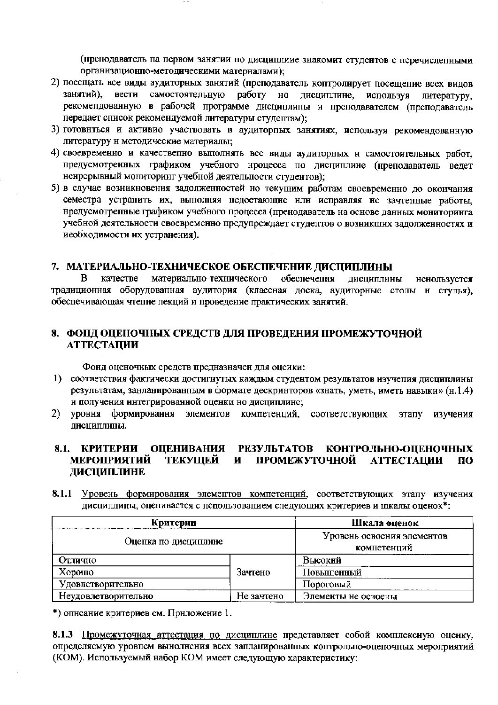(преподаватель па первом занятии но дисциплиие знакомит студентов с перечислепными органнзационпо-методическими матерналами);

- 2) посещать все виды аудиторных занятий (преподаватель коптролирует посещепие всех видов занятий), вести самостоятельную работу но дисциплине, используя литературу, рекомендованную в рабочей программе дисциплины и преподавателем (преподаватель передает список рекомендуемой литературы студептам);
- 3) готовнться и активио участвовать в аудиторпых занятиях, используя рекомендованную литературу и методические материалы:
- 4) своевременно и качественно выполнять все виды аудиторных и самостоятельных работ, предусмотренных графиком учебного нроцесса по дисциплине (нреподаватель ведет ненрерывный мониторинг учебной деятельности студентов);
- 5) в случае возникновения задолженностей но текущим работам своевременно до окончания семестра устранить их, выполняя недостающие или исправляя не зачтенные работы, нредусмотрепные графиком учебного процесса (пренодаватель на основе данных мониторинга учебной деятельности своевременно предупреждает студентов о возникших задолженностях и иеобходимости их устранения).

### 7. МАТЕРИАЛЬНО-ТЕХНИЧЕСКОЕ ОБЕСПЕЧЕНИЕ ДИСЦИПЛИНЫ

 $\mathbf{B}$ качестве материально-технического обеснечения ДИСЦИПЛИНЫ иснользуется традиционная оборудованная аудитория (классная доска, аудиторные столы н стулья), обеснечивающая чтение лекций и проведение практических занятий.

### 8. ФОНД ОЦЕНОЧНЫХ СРЕДСТВ ДЛЯ ПРОВЕДЕНИЯ ПРОМЕЖУТОЧНОЙ **АТТЕСТАЦИИ**

Фонд оценочных средств предназначен для оцеики:

- 1) соответствия фактически достигнутых каждым студентом результатов изучения дисциплины результатам, занланированным в формате дескринторов «знать, уметь, иметь навыки» (н.1.4) и получения интегрированной оценки но дисциплине;
- $2)$ формировання элементов компетенций, соответствующих этапу **VDOBHA** изучения дисциплины.

#### 8.1. КРИТЕРИИ КОНТРОЛЬНО-ОЦЕНОЧНЫХ **ОЦЕНИВАНИЯ РЕЗУЛЬТАТОВ МЕРОПРИЯТИЙ ТЕКУЩЕЙ** ПРОМЕЖУТОЧНОЙ **АТТЕСТАЦИИ**  $\mathbf{M}$  $\Pi$ <sup>O</sup> ДИСЦИПЛИНЕ

8.1.1 Уровень формирования элементов компетенций, соответствующих этапу изучения дисциплины, оценивается с нспользованием следующих критериев и шкалы оценок\*:

| Критерии             | Шкала оценок                              |                     |  |  |
|----------------------|-------------------------------------------|---------------------|--|--|
| Оцепка по дисциплине | Уровень освоения элементов<br>компетенций |                     |  |  |
| Отлично              |                                           | Высокий             |  |  |
| Хорошо               | Зачтено                                   | Повышенный          |  |  |
| Удовлетворительно    |                                           | Пороговый           |  |  |
| Неудовлетворительно  | Не зачтено                                | Элементы не освоены |  |  |

\*) описание критериев см. Приложение 1.

8.1.3 Промежуточная аттестация по дисциплине представляет собой комплексную оценку, определяемую уровпем вынолнения всех запланированных контрольно-оценочных мероприятий (КОМ). Используемый набор КОМ имеет следующую характеристику: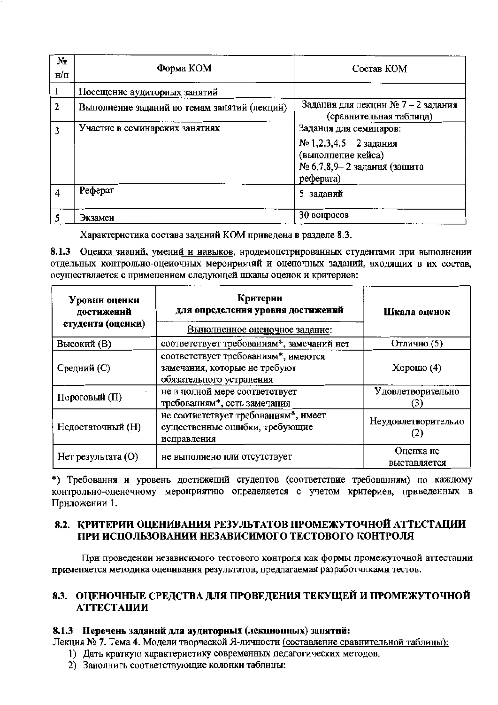| Nº.<br>н/п   | Форма КОМ                                    | Состав КОМ                                                                                                            |
|--------------|----------------------------------------------|-----------------------------------------------------------------------------------------------------------------------|
|              | Посещение аудиторных занятий                 |                                                                                                                       |
| $\mathbf{2}$ | Выполнение заданий по темам занятий (лекций) | Задания для лекции № 7 - 2 задания<br>(сравнительная таблица)                                                         |
|              | Участие в семинарских занятиях               | Задання для семинаров:<br>$N$ 2,2,3,4,5 − 2 задания<br>(выполпепие кейса)<br>№ 6,7,8,9-2 задания (защита<br>реферата) |
| 4            | Реферат                                      | 5 заданий                                                                                                             |
|              | Экзамен                                      | 30 вопросов                                                                                                           |

Характеристика состава заданий КОМ приведена в разделе 8.3.

8.1.3 Оценка знаний, умений и навыков, нродемопстрированных студентами при выполнении отдельных контрольио-оцеиочных меронриятий и оценочных заданий, входящих в их состав, осуществляется с применением следующей шкалы оценок и критериев:

| Уровни оценки<br>достижений<br>студента (оценки) | Критерии<br>для определення уровня достижений<br>Выполненное оценочное задание:                  | Шкала оценок              |  |
|--------------------------------------------------|--------------------------------------------------------------------------------------------------|---------------------------|--|
| Высокий (В)                                      | соответствует требованиям*, замечаний нет                                                        | Отлично (5)               |  |
| Средний (С)                                      | соответствует требованиям*, имеются<br>замечания, которые не требуют<br>обязательного устранения | $X$ орошо $(4)$           |  |
| Пороговый $(\Pi)$                                | не в полной мере соответствует<br>требованиям*, есть замечания                                   | Удовлетворительно         |  |
| Недостаточный (Н)                                | не соответствует требованиям*, имеет<br>существенные ошибки, требующие<br>исправления            |                           |  |
| $Her$ результата $(O)$                           | не выполнено или отсутствует                                                                     | Оценка не<br>выставляется |  |

\*) Требования и уровень достижений студентов (соответствие требованиям) по каждому контрольно-оценочному меронриятию определяется с учетом критериев, приведенных в Приложении 1.

# 8.2. КРИТЕРИИ ОЦЕНИВАНИЯ РЕЗУЛЬТАТОВ ПРОМЕЖУТОЧНОЙ АТТЕСТАЦИИ ПРИ ИСПОЛЬЗОВАНИИ НЕЗАВИСИМОГО ТЕСТОВОГО КОНТРОЛЯ

При проведении независимого тестового контроля как формы промежуточной аттестации применяется методика оценивания результатов, предлагаемая разработчнками тестов.

# 8.3. ОЦЕНОЧНЫЕ СРЕДСТВА ДЛЯ ПРОВЕДЕНИЯ ТЕКУЩЕЙ И ПРОМЕЖУТОЧНОЙ **АТТЕСТАЦИИ**

### 8.1.3 Перечень заданий для аудиторных (лекционных) занятий:

Лекция № 7. Тема 4. Модели творческой Я-личности (составление сравнительной таблицы):

- 1) Дать краткую характеристику современных педагогических методов.
- 2) Занолнить соответствующие колонки таблицы: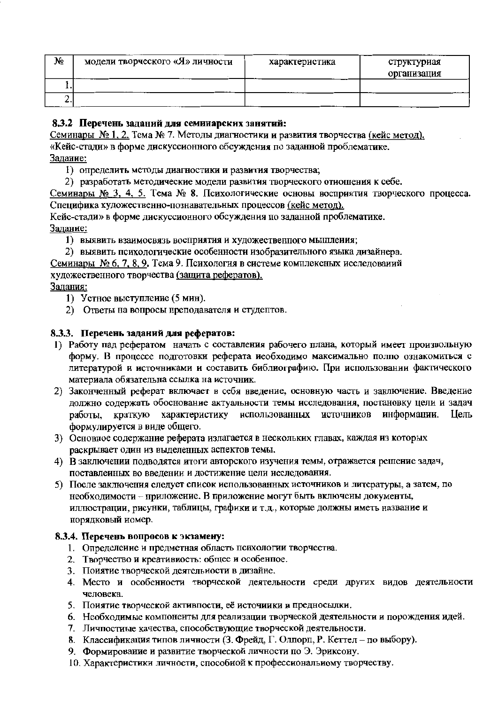| N₫ | модели творческого «Я» личности | характеристика | структуриая<br>организация |
|----|---------------------------------|----------------|----------------------------|
|    |                                 |                |                            |
|    |                                 |                |                            |

# 8.3.2 Перечень заданий для семинарских занятий:

Семинары № 1, 2. Тема № 7. Методы диагностики и развития творчества (кейс метод). «Кейс-стади» в форме дискуссионного обсуждения по заданной проблематике. Залание:

1) определить методы диагностики и развития творчества;

2) разработать методические модели развития творческого отношения к себе.

Семинары № 3, 4, 5. Тема № 8. Психологические основы восприятия творческого процесса. Спенифика художественно-познавательных процессов (кейс метод).

Кейс-стади» в форме дискуссионного обсуждения по заданной проблематике. Залание:

1) выявить взаимосвязь восприятия и художественного мышления;

2) выявить психологические особенности изобразительного языка дизайнера.

Семинары № 6, 7, 8, 9, Тема 9. Психология в системе комплексных исследований

художественного творчества (защита рефератов).

### Залания:

- 1) Устное выступление (5 мин).
- 2) Ответы на вопросы преподавателя и студептов.

#### 8.3.3. Перечень заданий для рефератов:

- 1) Работу пад рефератом начать с составления рабочего плана, который имеет произвольную форму. В процессе подготовки реферата иеобходимо максимально полпо ознакомиться с литературой и источниками и составить библиографию. При использовании фактического материала обязательна ссылка на источник.
- 2) Законченный реферат включает в себя введение, основную часть и заключение. Введение должно содержать обоснование актуальности темы исследования, постановку цели и задач краткую характеристику использованных источников работы. информации. Шель формулируется в виде общего.
- 3) Основное содержание реферата излагается в нескольких главах, каждая из которых раскрывает один из выделенных аспектов темы.
- 4) В заключении подводятся итоги авторского изучения темы, отражается решение задач, поставленных во введении и достижение цели исследования.
- 5) После заключения следует список использованных источников и литературы, а затем, по необходимости - приложение. В приложение могут быть включены документы, иллюстрации, рисунки, таблицы, графики и т.д., которые должны иметь название и порядковый номер.

### 8.3.4. Перечень вопросов к экзамену:

- 1. Определение и предметная область психологии творчества.
- 2. Творчество и креативиость: общее и особенное.
- 3. Поиятие творческой деятельности в дизайне.
- 4. Место и особенности творческой деятельности среди других видов деятельности человека.
- 5. Поиятие творческой активпости, её источиики и предносылки.
- 6. Необходимые компоненты для реализации творческой деятельности и порождення идей.
- 7. Личпостиые качества, способствующие творческой деятельности.
- 8. Классификация типов личности (3. Фрейд, Г. Олпорп, Р. Кеттел по выбору).
- 9. Формирование и развитие творческой личности по Э. Эриксону.
- 10. Характеристики личности, способной к профессиональному творчеству.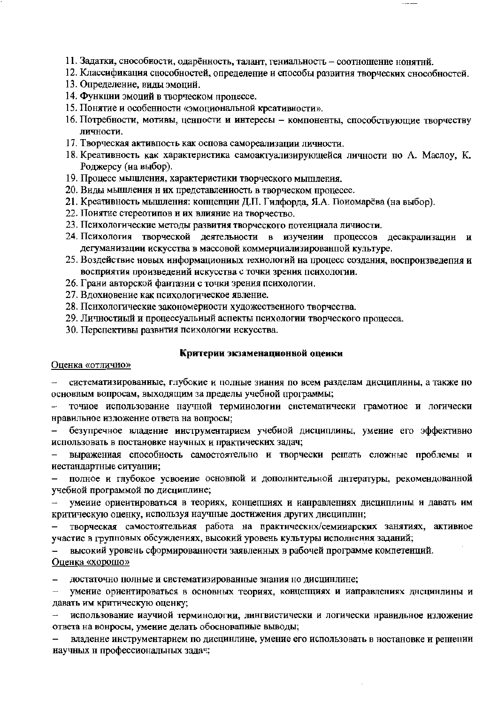- 11. Задатки, снособности, одарённость, талант, гениальность соотношение нонятнй.
- 12. Классификация способностей, определение и способы развития творческих снособностей.
- 13. Определение, виды эмоций.
- 14. Функции эмоций в творческом процессе.
- 15. Понятие и особенности «эмоциональной креативности».
- 16. Потребности, мотивы, ценпости и интересы компоненты, способствующие творчеству личности.
- 17. Творческая активность как основа самореализации личности.
- 18. Креативность как характеристика самоактуализирующейся личности но А. Маслоу, К. Роджерсу (иа выбор).
- 19. Процесс мышления, характеристики творческого мышления.
- 20. Виды мышления и их представленность в творческом процессе.
- 21. Креативность мышления: копцепции Д.П. Гилфорда, Я.А. Пономарёва (на выбор).
- 22. Поиятие стереотипов и их влияние на творчество.
- 23. Психологические методы развития творческого потенциала личности.
- 24. Психология творческой деятельности в изучении процессов десакрализации и дегуманизации искусства в массовой коммерциализированной культуре.
- 25. Воздействие новых информациониых техиологий на процесс создания, воспроизведения и восприятия произведений искусства с точки зрения психологии.
- 26. Грани авторской фантазии с точки зрения психологии.
- 27. Вдохиовение как психологическое явление.
- 28. Психологические закономерности художественного творчества.
- 29. Личностиый и процессуальный аспекты психологии творческого процесса.
- 30. Перспективы развития психологии искусства.

#### Критерии экзаменационной оценки

#### Оценка «отлично»

систематизированные, глубокие и полные знания по всем разделам дисциплины, а также по  $\overline{\phantom{0}}$ основным вопросам, выходящим за пределы учебной программы;

точное использование научной терминологии систематически грамотиое и логически нравильное изложение ответа на вопросы;

безупречное владение инструментарием учебиой дисциплины, умение его эффективио использовать в постановке научных и практических задач;

выраженная способность самостоятельно и творчески решать сложные проблемы и иестандартные ситуации;

полное и глубокое усвоение основной и дополнительной литературы, рекомендованной учебной программой по дисциплине;

умеиие ориентироваться в теориях, концепциях и нанравлениях дисциплины и давать им критическую оценку, используя научные достижения других дисциплнн;

творческая самостоятельная работа на практнческнх/семинарских занятиях, активное участие в групповых обсуждениях, высокий уровень культуры исполнення заданий;

высокий уровень сформированности заявленных в рабочей программе компетенций. Оценка «хорошо»

достаточно полные и систематизированные знания но дисцинлине;  $\overline{\phantom{0}}$ 

умение ориентироваться в основных теориях, концепциях и иаправлениях днецинлины и  $\overline{a}$ давать им критическую оценку;

использование иаучиой терминологии, лингвистически и логически нравильное изложение ответа на вонросы, умение делать обосновапные выводы;

владение инструментарием по дисцинлине, умение его использовать в ностановке и решении научных н профессиональных задач;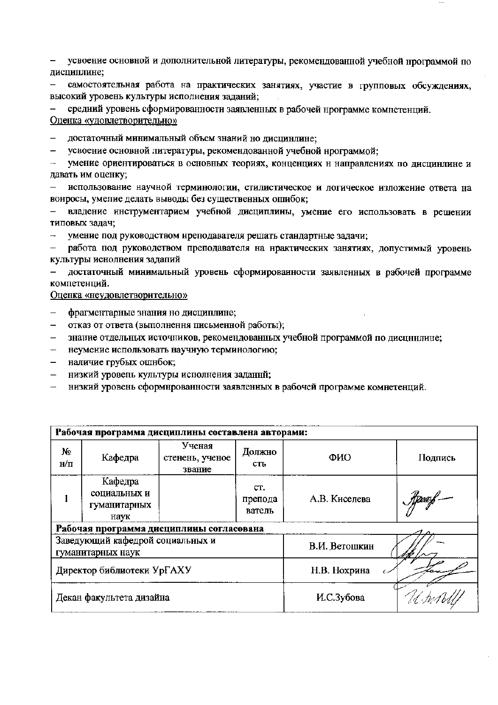усвоение основной и дополнительной литературы, рекомендованной учебной нрограммой по дисциплине;

самостоятельная работа на практических занятиях, участие в групповых обсуждениях, высокий уровень культуры исполнения заданий;

средний уровень сформированности заявленных в рабочей нрограмме компетенций. Оценка «удовлетворительно»

- достаточный минимальный объем знаний но дисцинлине;  $-$
- усвоение основной литературы, рекомендованной учебной нрограммой;

 $\overline{\phantom{a}}$ умение ориентироваться в основных теориях, конценциях н направлениях по дисцинлине и давать им оценку;

использование научной терминологии, стилистическое и логическое изложение ответа на вонросы, умелие делать выводы без существенных ошибок;

владение инструментарием учебной дисциплины, умение его использовать в решении типовых задач;

умение под руководством нреподавателя решать стандартные задачи;

работа под руководством преподавателя на нрактических занятиях, допустимый уровень культуры иснолнения задапий

достаточный минимальный уровень сформированности заявленных в рабочей программе компетенций.

Оценка «неудовлетворительно»

- фрагментарные знания но дисциплине;  $-$
- отказ от ответа (выполнення письменной работы);  $\overline{\phantom{m}}$
- знание отдельных источников, рекомендованных учебной программой по дисцинлине;
- неумение использовать научную терминологию;  $\equiv$
- наличие грубых ошнбок;
- $\equiv$ низкий уровель культуры исполнения заданнй;
- низкий уровень сформнрованности заявленных в рабочей программе комнетенций.

| Рабочая программа дисциплины составлена авторами:     |                                                 |                                     |                          |               |            |
|-------------------------------------------------------|-------------------------------------------------|-------------------------------------|--------------------------|---------------|------------|
| $N_2$<br>$H/\Pi$                                      | Кафедра                                         | Ученая<br>стенень, ученое<br>звание | Должно<br>сть            | ФИО           | Подпись    |
|                                                       | Кафедра<br>социальных и<br>гуманитарных<br>наук |                                     | CT.<br>препода<br>ватель | А.В. Киселева | Stepperf - |
| Рабочая программа дисциплины согласована              |                                                 |                                     |                          |               |            |
| Заведующий кафедрой социальных и<br>гуманитарных наук |                                                 |                                     | В.И. Ветошкин            |               |            |
| Директор библиотеки Ур $\Gamma$ АХУ                   |                                                 | Н.В. Нохрина                        |                          |               |            |
| Декан факультета дизайна                              |                                                 | И.С.Зубова                          | U.Sw.                    |               |            |